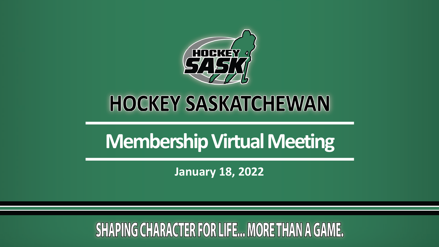

# **HOCKEY SASKATCHEWAN**

# **Membership Virtual Meeting**

**January 18, 2022**

## **SHAPING CHARACTER FOR LIFE... MORE THAN A GAME.**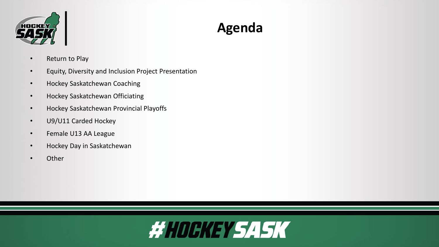

## **Agenda**

- Return to Play
- Equity, Diversity and Inclusion Project Presentation
- Hockey Saskatchewan Coaching
- Hockey Saskatchewan Officiating
- Hockey Saskatchewan Provincial Playoffs
- U9/U11 Carded Hockey
- Female U13 AA League
- Hockey Day in Saskatchewan
- Other

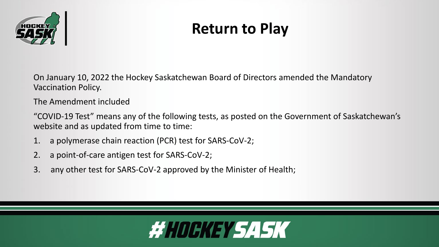

## **Return to Play**

On January 10, 2022 the Hockey Saskatchewan Board of Directors amended the Mandatory Vaccination Policy.

The Amendment included

"COVID-19 Test" means any of the following tests, as posted on the Government of Saskatchewan's website and as updated from time to time:

- 1. a polymerase chain reaction (PCR) test for SARS-CoV-2;
- 2. a point-of-care antigen test for SARS-CoV-2;
- 3. any other test for SARS-CoV-2 approved by the Minister of Health;

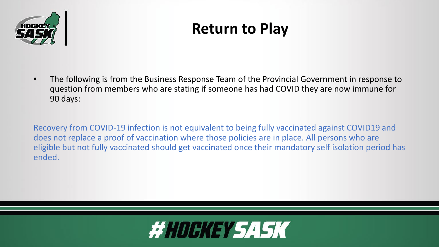

## **Return to Play**

• The following is from the Business Response Team of the Provincial Government in response to question from members who are stating if someone has had COVID they are now immune for 90 days:

Recovery from COVID-19 infection is not equivalent to being fully vaccinated against COVID19 and does not replace a proof of vaccination where those policies are in place. All persons who are eligible but not fully vaccinated should get vaccinated once their mandatory self isolation period has ended.

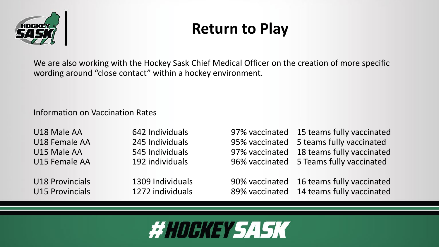

## **Return to Play**

We are also working with the Hockey Sask Chief Medical Officer on the creation of more specific wording around "close contact" within a hockey environment.

#### Information on Vaccination Rates

| U18 Male AA   |
|---------------|
| U18 Female AA |
| U15 Male AA   |
| U15 Female AA |

642 Individuals **97% vaccinated** 15 teams fully vaccinated 245 Individuals **95% vaccinated** 5 teams fully vaccinated 545 Individuals 37% vaccinated 18 teams fully vaccinated 192 individuals 192 individuals 192 individuals 192 individuals

U18 Provincials **1309 Individuals** 190% vaccinated 16 teams fully vaccinated U15 Provincials **1272** individuals 89% vaccinated 14 teams fully vaccinated

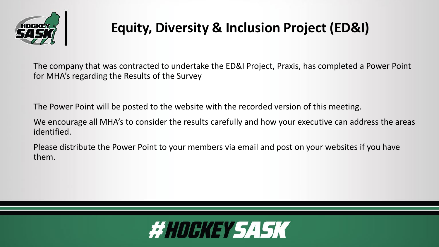

## **Equity, Diversity & Inclusion Project (ED&I)**

The company that was contracted to undertake the ED&I Project, Praxis, has completed a Power Point for MHA's regarding the Results of the Survey

The Power Point will be posted to the website with the recorded version of this meeting.

We encourage all MHA's to consider the results carefully and how your executive can address the areas identified.

Please distribute the Power Point to your members via email and post on your websites if you have them.

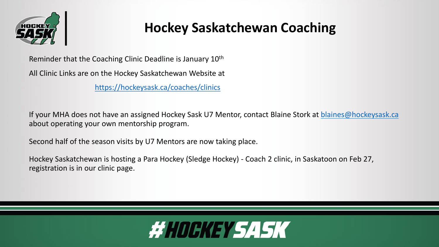

### **Hockey Saskatchewan Coaching**

Reminder that the Coaching Clinic Deadline is January 10<sup>th</sup>

All Clinic Links are on the Hockey Saskatchewan Website at

<https://hockeysask.ca/coaches/clinics>

If your MHA does not have an assigned Hockey Sask U7 Mentor, contact Blaine Stork at [blaines@hockeysask.ca](mailto:blaines@hockeysask.ca) about operating your own mentorship program.

Second half of the season visits by U7 Mentors are now taking place.

Hockey Saskatchewan is hosting a Para Hockey (Sledge Hockey) - Coach 2 clinic, in Saskatoon on Feb 27, registration is in our clinic page.

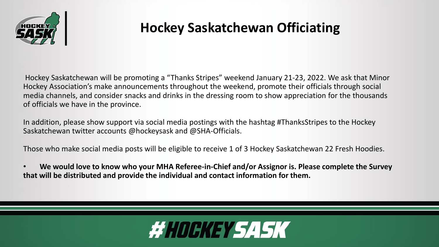

### **Hockey Saskatchewan Officiating**

Hockey Saskatchewan will be promoting a "Thanks Stripes" weekend January 21-23, 2022. We ask that Minor Hockey Association's make announcements throughout the weekend, promote their officials through social media channels, and consider snacks and drinks in the dressing room to show appreciation for the thousands of officials we have in the province.

In addition, please show support via social media postings with the hashtag #ThanksStripes to the Hockey Saskatchewan twitter accounts @hockeysask and @SHA-Officials.

Those who make social media posts will be eligible to receive 1 of 3 Hockey Saskatchewan 22 Fresh Hoodies.

• **We would love to know who your MHA Referee-in-Chief and/or Assignor is. Please complete the Survey that will be distributed and provide the individual and contact information for them.**

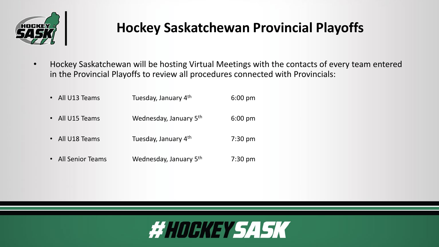

### **Hockey Saskatchewan Provincial Playoffs**

• Hockey Saskatchewan will be hosting Virtual Meetings with the contacts of every team entered in the Provincial Playoffs to review all procedures connected with Provincials:

| • All U13 Teams    | Tuesday, January 4th   | $6:00$ pm         |
|--------------------|------------------------|-------------------|
| All U15 Teams      | Wednesday, January 5th | $6:00$ pm         |
| • All U18 Teams    | Tuesday, January 4th   | $7:30 \text{ pm}$ |
| • All Senior Teams | Wednesday, January 5th | $7:30$ pm         |

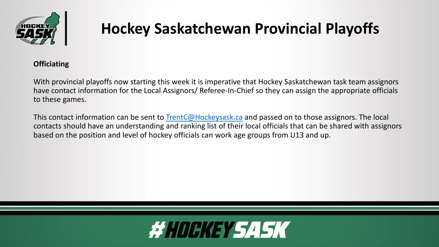

## **Hockey Saskatchewan Provincial Playoffs**

#### **Officiating**

With provincial playoffs now starting this week it is imperative that Hockey Saskatchewan task team assignors have contact information for the Local Assignors/ Referee-In-Chief so they can assign the appropriate officials to these games.

This contact information can be sent to [TrentC@Hockeysask.ca](mailto:TrentC@Hockeysask.ca) and passed on to those assignors. The local contacts should have an understanding and ranking list of their local officials that can be shared with assignors based on the position and level of hockey officials can work age groups from U13 and up.

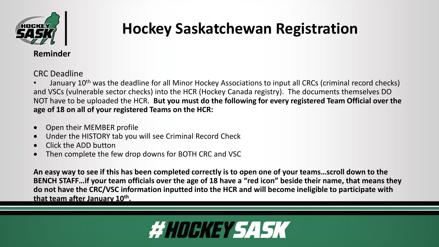

## **Hockey Saskatchewan Registration**

**Reminder**

CRC Deadline

January 10<sup>th</sup> was the deadline for all Minor Hockey Associations to input all CRCs (criminal record checks) and VSCs (vulnerable sector checks) into the HCR (Hockey Canada registry). The documents themselves DO NOT have to be uploaded the HCR. **But you must do the following for every registered Team Official over the age of 18 on all of your registered Teams on the HCR:**

- Open their MEMBER profile
- Under the HISTORY tab you will see Criminal Record Check
- Click the ADD button
- Then complete the few drop downs for BOTH CRC and VSC

**An easy way to see if this has been completed correctly is to open one of your teams…scroll down to the BENCH STAFF…if your team officials over the age of 18 have a "red icon" beside their name, that means they do not have the CRC/VSC information inputted into the HCR and will become ineligible to participate with that team after January 10th.**

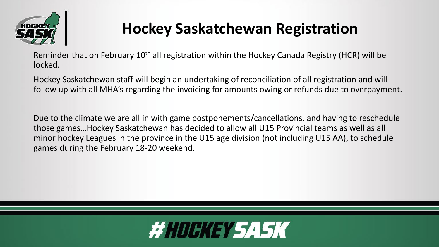

## **Hockey Saskatchewan Registration**

Reminder that on February 10<sup>th</sup> all registration within the Hockey Canada Registry (HCR) will be locked.

Hockey Saskatchewan staff will begin an undertaking of reconciliation of all registration and will follow up with all MHA's regarding the invoicing for amounts owing or refunds due to overpayment.

Due to the climate we are all in with game postponements/cancellations, and having to reschedule those games…Hockey Saskatchewan has decided to allow all U15 Provincial teams as well as all minor hockey Leagues in the province in the U15 age division (not including U15 AA), to schedule games during the February 18-20 weekend.

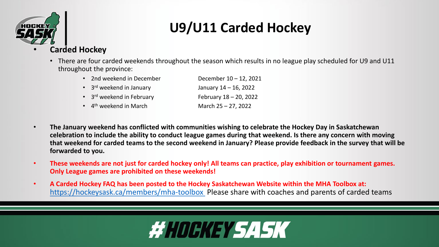

## **U9/U11 Carded Hockey**

#### • **Carded Hockey**

• There are four carded weekends throughout the season which results in no league play scheduled for U9 and U11 throughout the province:

| • 2nd weekend in December                  | December 10 - 12, 2021   |
|--------------------------------------------|--------------------------|
| $\cdot$ 3 <sup>rd</sup> weekend in January | January $14 - 16$ , 2022 |
| • 3rd weekend in February                  | February 18 - 20, 2022   |
| $\bullet$ 4 <sup>th</sup> weekend in March | March 25 - 27, 2022      |

- **The January weekend has conflicted with communities wishing to celebrate the Hockey Day in Saskatchewan celebration to include the ability to conduct league games during that weekend. Is there any concern with moving that weekend for carded teams to the second weekend in January? Please provide feedback in the survey that will be forwarded to you.**
- **These weekends are not just for carded hockey only! All teams can practice, play exhibition or tournament games. Only League games are prohibited on these weekends!**
- **A Carded Hockey FAQ has been posted to the Hockey Saskatchewan Website within the MHA Toolbox at:**  <https://hockeysask.ca/members/mha-toolbox> Please share with coaches and parents of carded teams

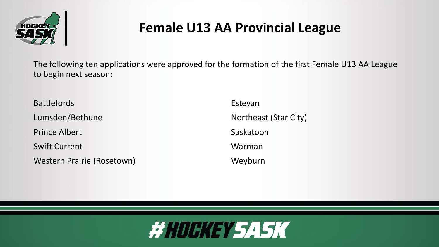

#### **Female U13 AA Provincial League**

The following ten applications were approved for the formation of the first Female U13 AA League to begin next season:

Battlefords **Estevan** Lumsden/Bethune Northeast (Star City) Prince Albert **Saskatoon** Swift Current Warman Western Prairie (Rosetown) Meyburn

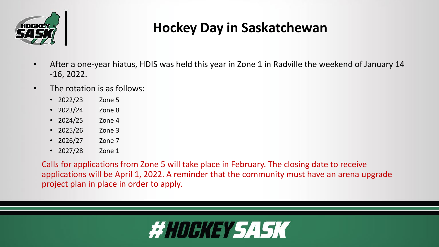

### **Hockey Day in Saskatchewan**

- After a one-year hiatus, HDIS was held this year in Zone 1 in Radville the weekend of January 14 -16, 2022.
- The rotation is as follows:
	- 2022/23 Zone 5
	- 2023/24 Zone 8
	- 2024/25 Zone 4
	- 2025/26 Zone 3
	- 2026/27 Zone 7
	- 2027/28 Zone 1

Calls for applications from Zone 5 will take place in February. The closing date to receive applications will be April 1, 2022. A reminder that the community must have an arena upgrade project plan in place in order to apply.

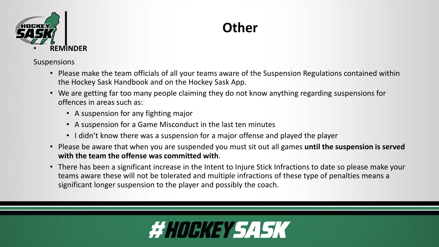

### **Other**

Suspensions

- Please make the team officials of all your teams aware of the Suspension Regulations contained within the Hockey Sask Handbook and on the Hockey Sask App.
- We are getting far too many people claiming they do not know anything regarding suspensions for offences in areas such as:
	- A suspension for any fighting major
	- A suspension for a Game Misconduct in the last ten minutes
	- I didn't know there was a suspension for a major offense and played the player
- Please be aware that when you are suspended you must sit out all games **until the suspension is served with the team the offense was committed with**.
- There has been a significant increase in the Intent to Injure Stick Infractions to date so please make your teams aware these will not be tolerated and multiple infractions of these type of penalties means a significant longer suspension to the player and possibly the coach.

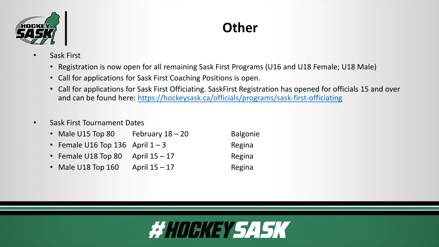

#### **Other**

- Sask First
	- Registration is now open for all remaining Sask First Programs (U16 and U18 Female; U18 Male)
	- Call for applications for Sask First Coaching Positions is open.
	- Call for applications for Sask First Officiating. SaskFirst Registration has opened for officials 15 and over and can be found here: <https://hockeysask.ca/officials/programs/sask-first-officiating>
- Sask First Tournament Dates

| • Male U15 Top 80                   | February $18 - 20$ | <b>Balgonie</b> |
|-------------------------------------|--------------------|-----------------|
| • Female U16 Top 136 April $1 - 3$  |                    | Regina          |
| • Female U18 Top 80 April $15 - 17$ |                    | Regina          |
| • Male U18 Top 160                  | April $15 - 17$    | Regina          |